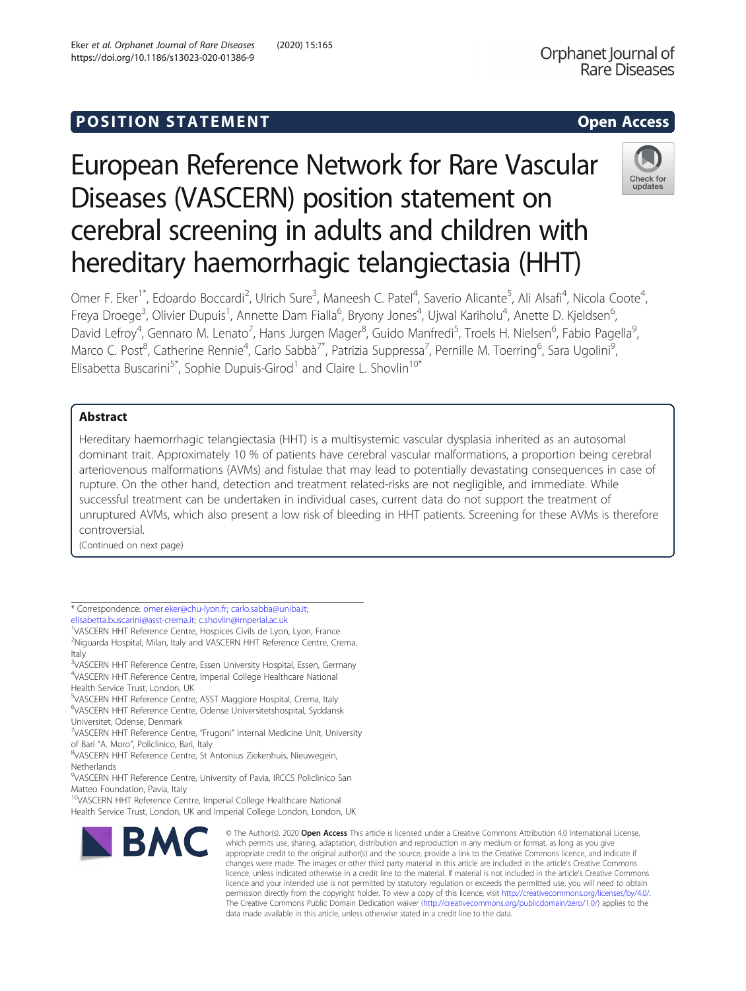## **POSITION STATEMENT CONSUMING ACCESS**

# European Reference Network for Rare Vascular Diseases (VASCERN) position statement on cerebral screening in adults and children with hereditary haemorrhagic telangiectasia (HHT)

Omer F. Eker<sup>1\*</sup>, Edoardo Boccardi<sup>2</sup>, Ulrich Sure<sup>3</sup>, Maneesh C. Patel<sup>4</sup>, Saverio Alicante<sup>5</sup>, Ali Alsafi<sup>4</sup>, Nicola Coote<sup>4</sup> , Freya Droege<sup>3</sup>, Olivier Dupuis<sup>1</sup>, Annette Dam Fialla<sup>6</sup>, Bryony Jones<sup>4</sup>, Ujwal Kariholu<sup>4</sup>, Anette D. Kjeldsen<sup>6</sup> י<br>, David Lefroy<sup>4</sup>, Gennaro M. Lenato<sup>7</sup>, Hans Jurgen Mager<sup>8</sup>, Guido Manfredi<sup>5</sup>, Troels H. Nielsen<sup>6</sup>, Fabio Pagella<sup>s</sup> , Marco C. Post<sup>8</sup>, Catherine Rennie<sup>4</sup>, Carlo Sabbà<sup>7\*</sup>, Patrizia Suppressa<sup>7</sup>, Pernille M. Toerring<sup>6</sup>, Sara Ugolini<sup>s</sup> , Elisabetta Buscarini<sup>5\*</sup>, Sophie Dupuis-Girod<sup>1</sup> and Claire L. Shovlin<sup>10\*</sup>

## Abstract

Hereditary haemorrhagic telangiectasia (HHT) is a multisystemic vascular dysplasia inherited as an autosomal dominant trait. Approximately 10 % of patients have cerebral vascular malformations, a proportion being cerebral arteriovenous malformations (AVMs) and fistulae that may lead to potentially devastating consequences in case of rupture. On the other hand, detection and treatment related-risks are not negligible, and immediate. While successful treatment can be undertaken in individual cases, current data do not support the treatment of unruptured AVMs, which also present a low risk of bleeding in HHT patients. Screening for these AVMs is therefore controversial.

(Continued on next page)

<sup>&</sup>lt;sup>10</sup>VASCERN HHT Reference Centre, Imperial College Healthcare National Health Service Trust, London, UK and Imperial College London, London, UK



Orphanet Journal of **Rare Diseases** 



<sup>\*</sup> Correspondence: [omer.eker@chu-lyon.fr](mailto:omer.eker@chu-lyon.fr); [carlo.sabba@uniba.it](mailto:carlo.sabba@uniba.it); [elisabetta.buscarini@asst-crema.it](mailto:elisabetta.buscarini@asst-crema.it); [c.shovlin@imperial.ac.uk](mailto:c.shovlin@imperial.ac.uk) <sup>1</sup>

<sup>&</sup>lt;sup>1</sup>VASCERN HHT Reference Centre, Hospices Civils de Lyon, Lyon, France <sup>2</sup>Niguarda Hospital, Milan, Italy and VASCERN HHT Reference Centre, Crema, Italy

<sup>&</sup>lt;sup>3</sup>VASCERN HHT Reference Centre, Essen University Hospital, Essen, Germany 4 VASCERN HHT Reference Centre, Imperial College Healthcare National Health Service Trust, London, UK

<sup>5</sup> VASCERN HHT Reference Centre, ASST Maggiore Hospital, Crema, Italy 6 VASCERN HHT Reference Centre, Odense Universitetshospital, Syddansk Universitet, Odense, Denmark

<sup>&</sup>lt;sup>7</sup>VASCERN HHT Reference Centre, "Frugoni" Internal Medicine Unit, University of Bari "A. Moro", Policlinico, Bari, Italy <sup>8</sup>

VASCERN HHT Reference Centre, St Antonius Ziekenhuis, Nieuwegein, Netherlands

<sup>&</sup>lt;sup>9</sup>VASCERN HHT Reference Centre, University of Pavia, IRCCS Policlinico San Matteo Foundation, Pavia, Italy

<sup>©</sup> The Author(s), 2020 **Open Access** This article is licensed under a Creative Commons Attribution 4.0 International License, which permits use, sharing, adaptation, distribution and reproduction in any medium or format, as long as you give appropriate credit to the original author(s) and the source, provide a link to the Creative Commons licence, and indicate if changes were made. The images or other third party material in this article are included in the article's Creative Commons licence, unless indicated otherwise in a credit line to the material. If material is not included in the article's Creative Commons licence and your intended use is not permitted by statutory regulation or exceeds the permitted use, you will need to obtain permission directly from the copyright holder. To view a copy of this licence, visit [http://creativecommons.org/licenses/by/4.0/.](http://creativecommons.org/licenses/by/4.0/) The Creative Commons Public Domain Dedication waiver [\(http://creativecommons.org/publicdomain/zero/1.0/](http://creativecommons.org/publicdomain/zero/1.0/)) applies to the data made available in this article, unless otherwise stated in a credit line to the data.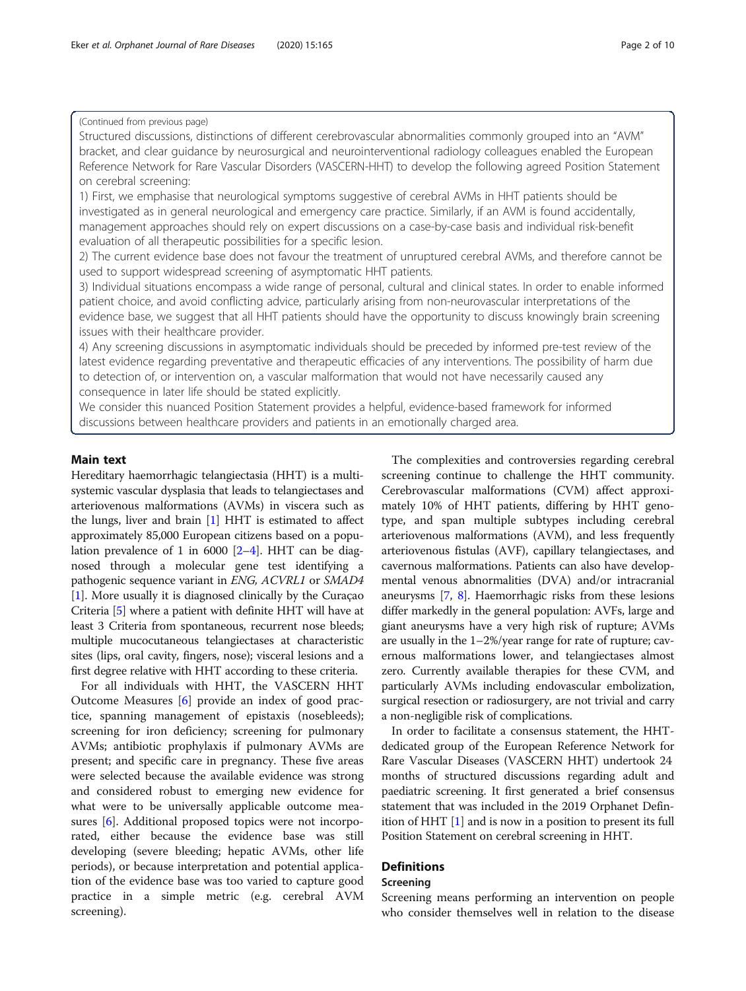## (Continued from previous page)

Structured discussions, distinctions of different cerebrovascular abnormalities commonly grouped into an "AVM" bracket, and clear guidance by neurosurgical and neurointerventional radiology colleagues enabled the European Reference Network for Rare Vascular Disorders (VASCERN-HHT) to develop the following agreed Position Statement on cerebral screening:

1) First, we emphasise that neurological symptoms suggestive of cerebral AVMs in HHT patients should be investigated as in general neurological and emergency care practice. Similarly, if an AVM is found accidentally, management approaches should rely on expert discussions on a case-by-case basis and individual risk-benefit evaluation of all therapeutic possibilities for a specific lesion.

2) The current evidence base does not favour the treatment of unruptured cerebral AVMs, and therefore cannot be used to support widespread screening of asymptomatic HHT patients.

3) Individual situations encompass a wide range of personal, cultural and clinical states. In order to enable informed patient choice, and avoid conflicting advice, particularly arising from non-neurovascular interpretations of the evidence base, we suggest that all HHT patients should have the opportunity to discuss knowingly brain screening issues with their healthcare provider.

4) Any screening discussions in asymptomatic individuals should be preceded by informed pre-test review of the latest evidence regarding preventative and therapeutic efficacies of any interventions. The possibility of harm due to detection of, or intervention on, a vascular malformation that would not have necessarily caused any consequence in later life should be stated explicitly.

We consider this nuanced Position Statement provides a helpful, evidence-based framework for informed discussions between healthcare providers and patients in an emotionally charged area.

## Main text

Hereditary haemorrhagic telangiectasia (HHT) is a multisystemic vascular dysplasia that leads to telangiectases and arteriovenous malformations (AVMs) in viscera such as the lungs, liver and brain [[1\]](#page-8-0) HHT is estimated to affect approximately 85,000 European citizens based on a population prevalence of 1 in 6000  $[2-4]$  $[2-4]$  $[2-4]$  $[2-4]$  $[2-4]$ . HHT can be diagnosed through a molecular gene test identifying a pathogenic sequence variant in ENG, ACVRL1 or SMAD4 [[1\]](#page-8-0). More usually it is diagnosed clinically by the Curaçao Criteria [[5\]](#page-8-0) where a patient with definite HHT will have at least 3 Criteria from spontaneous, recurrent nose bleeds; multiple mucocutaneous telangiectases at characteristic sites (lips, oral cavity, fingers, nose); visceral lesions and a first degree relative with HHT according to these criteria.

For all individuals with HHT, the VASCERN HHT Outcome Measures [\[6](#page-8-0)] provide an index of good practice, spanning management of epistaxis (nosebleeds); screening for iron deficiency; screening for pulmonary AVMs; antibiotic prophylaxis if pulmonary AVMs are present; and specific care in pregnancy. These five areas were selected because the available evidence was strong and considered robust to emerging new evidence for what were to be universally applicable outcome measures [[6](#page-8-0)]. Additional proposed topics were not incorporated, either because the evidence base was still developing (severe bleeding; hepatic AVMs, other life periods), or because interpretation and potential application of the evidence base was too varied to capture good practice in a simple metric (e.g. cerebral AVM screening).

The complexities and controversies regarding cerebral screening continue to challenge the HHT community. Cerebrovascular malformations (CVM) affect approximately 10% of HHT patients, differing by HHT genotype, and span multiple subtypes including cerebral arteriovenous malformations (AVM), and less frequently arteriovenous fistulas (AVF), capillary telangiectases, and cavernous malformations. Patients can also have developmental venous abnormalities (DVA) and/or intracranial aneurysms [\[7](#page-8-0), [8](#page-8-0)]. Haemorrhagic risks from these lesions differ markedly in the general population: AVFs, large and giant aneurysms have a very high risk of rupture; AVMs are usually in the 1–2%/year range for rate of rupture; cavernous malformations lower, and telangiectases almost zero. Currently available therapies for these CVM, and particularly AVMs including endovascular embolization, surgical resection or radiosurgery, are not trivial and carry a non-negligible risk of complications.

In order to facilitate a consensus statement, the HHTdedicated group of the European Reference Network for Rare Vascular Diseases (VASCERN HHT) undertook 24 months of structured discussions regarding adult and paediatric screening. It first generated a brief consensus statement that was included in the 2019 Orphanet Definition of HHT [\[1\]](#page-8-0) and is now in a position to present its full Position Statement on cerebral screening in HHT.

## **Definitions**

## Screening

Screening means performing an intervention on people who consider themselves well in relation to the disease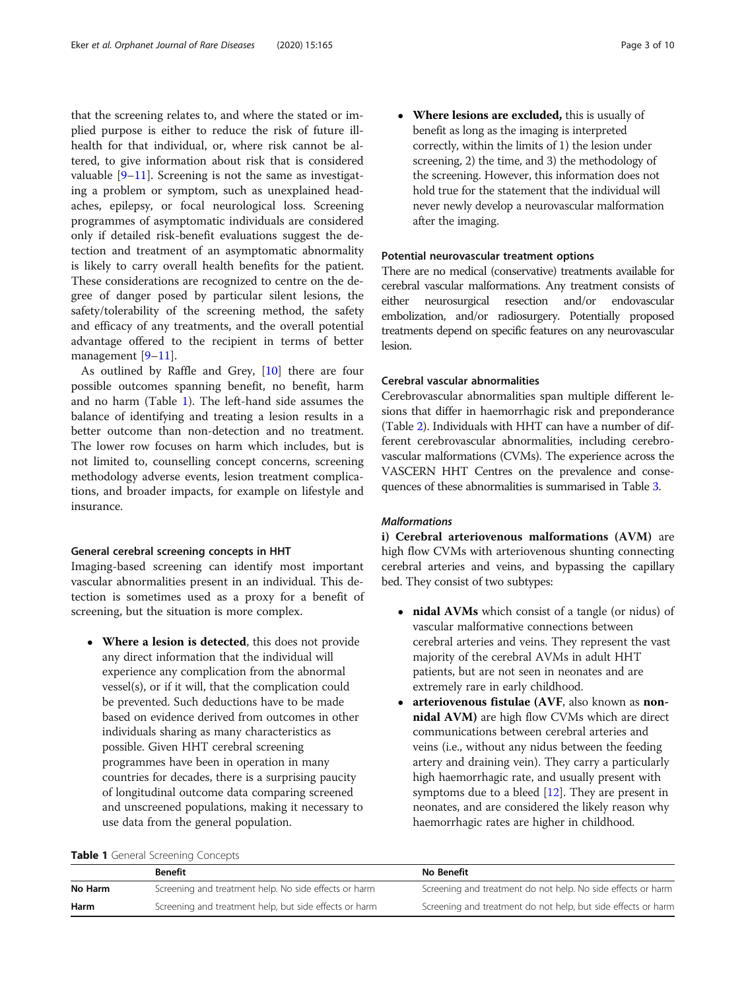that the screening relates to, and where the stated or implied purpose is either to reduce the risk of future illhealth for that individual, or, where risk cannot be altered, to give information about risk that is considered valuable [[9](#page-9-0)–[11](#page-9-0)]. Screening is not the same as investigating a problem or symptom, such as unexplained headaches, epilepsy, or focal neurological loss. Screening programmes of asymptomatic individuals are considered only if detailed risk-benefit evaluations suggest the detection and treatment of an asymptomatic abnormality is likely to carry overall health benefits for the patient. These considerations are recognized to centre on the degree of danger posed by particular silent lesions, the safety/tolerability of the screening method, the safety and efficacy of any treatments, and the overall potential advantage offered to the recipient in terms of better management [\[9](#page-9-0)–[11](#page-9-0)].

As outlined by Raffle and Grey, [\[10\]](#page-9-0) there are four possible outcomes spanning benefit, no benefit, harm and no harm (Table 1). The left-hand side assumes the balance of identifying and treating a lesion results in a better outcome than non-detection and no treatment. The lower row focuses on harm which includes, but is not limited to, counselling concept concerns, screening methodology adverse events, lesion treatment complications, and broader impacts, for example on lifestyle and insurance.

## General cerebral screening concepts in HHT

Imaging-based screening can identify most important vascular abnormalities present in an individual. This detection is sometimes used as a proxy for a benefit of screening, but the situation is more complex.

 Where a lesion is detected, this does not provide any direct information that the individual will experience any complication from the abnormal vessel(s), or if it will, that the complication could be prevented. Such deductions have to be made based on evidence derived from outcomes in other individuals sharing as many characteristics as possible. Given HHT cerebral screening programmes have been in operation in many countries for decades, there is a surprising paucity of longitudinal outcome data comparing screened and unscreened populations, making it necessary to use data from the general population.

• Where lesions are excluded, this is usually of benefit as long as the imaging is interpreted correctly, within the limits of 1) the lesion under screening, 2) the time, and 3) the methodology of the screening. However, this information does not hold true for the statement that the individual will never newly develop a neurovascular malformation after the imaging.

## Potential neurovascular treatment options

There are no medical (conservative) treatments available for cerebral vascular malformations. Any treatment consists of either neurosurgical resection and/or endovascular embolization, and/or radiosurgery. Potentially proposed treatments depend on specific features on any neurovascular lesion.

## Cerebral vascular abnormalities

Cerebrovascular abnormalities span multiple different lesions that differ in haemorrhagic risk and preponderance (Table [2\)](#page-3-0). Individuals with HHT can have a number of different cerebrovascular abnormalities, including cerebrovascular malformations (CVMs). The experience across the VASCERN HHT Centres on the prevalence and consequences of these abnormalities is summarised in Table [3.](#page-4-0)

## Malformations

i) Cerebral arteriovenous malformations (AVM) are high flow CVMs with arteriovenous shunting connecting cerebral arteries and veins, and bypassing the capillary bed. They consist of two subtypes:

- nidal AVMs which consist of a tangle (or nidus) of vascular malformative connections between cerebral arteries and veins. They represent the vast majority of the cerebral AVMs in adult HHT patients, but are not seen in neonates and are extremely rare in early childhood.
- arteriovenous fistulae (AVF, also known as nonnidal AVM) are high flow CVMs which are direct communications between cerebral arteries and veins (i.e., without any nidus between the feeding artery and draining vein). They carry a particularly high haemorrhagic rate, and usually present with symptoms due to a bleed [\[12\]](#page-9-0). They are present in neonates, and are considered the likely reason why haemorrhagic rates are higher in childhood.

| Table 1 General Screening Concepts |  |  |
|------------------------------------|--|--|
|------------------------------------|--|--|

|         | <b>Benefit</b>                                         | No Benefit                                                    |
|---------|--------------------------------------------------------|---------------------------------------------------------------|
| No Harm | Screening and treatment help. No side effects or harm  | Screening and treatment do not help. No side effects or harm  |
| Harm    | Screening and treatment help, but side effects or harm | Screening and treatment do not help, but side effects or harm |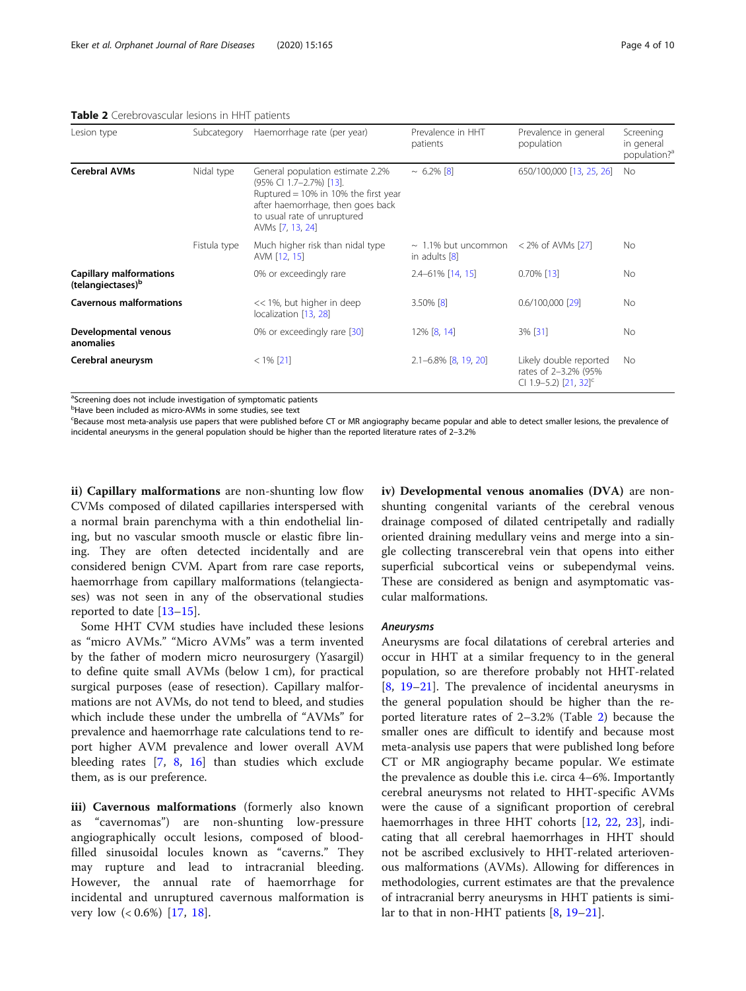<span id="page-3-0"></span>Table 2 Cerebrovascular lesions in HHT patients

| Lesion type                                                     | Subcategory  | Haemorrhage rate (per year)                                                                                                                                                                 | Prevalence in HHT<br>patients                               | Prevalence in general<br>population                                                 | Screening<br>in general<br>population? <sup>a</sup> |
|-----------------------------------------------------------------|--------------|---------------------------------------------------------------------------------------------------------------------------------------------------------------------------------------------|-------------------------------------------------------------|-------------------------------------------------------------------------------------|-----------------------------------------------------|
| <b>Cerebral AVMs</b>                                            | Nidal type   | General population estimate 2.2%<br>(95% CI 1.7-2.7%) [13].<br>Ruptured = 10% in 10% the first year<br>after haemorrhage, then goes back<br>to usual rate of unruptured<br>AVMs [7, 13, 24] | $\sim 6.2\%$ [8]                                            | 650/100,000 [13, 25, 26]                                                            | No.                                                 |
|                                                                 | Fistula type | Much higher risk than nidal type<br>AVM [12, 15]                                                                                                                                            | $\sim$ 1.1% but uncommon < 2% of AVMs [27]<br>in adults [8] |                                                                                     | No.                                                 |
| <b>Capillary malformations</b><br>(telangiectases) <sup>b</sup> |              | 0% or exceedingly rare                                                                                                                                                                      | $2.4 - 61\%$ [14, 15]                                       | $0.70\%$ [13]                                                                       | No.                                                 |
| <b>Cavernous malformations</b>                                  |              | << 1%, but higher in deep<br>localization [13, 28]                                                                                                                                          | $3.50\%$ [8]                                                | $0.6/100,000$ [29]                                                                  | No.                                                 |
| Developmental venous<br>anomalies                               |              | 0% or exceedingly rare [30]                                                                                                                                                                 | 12% [8, 14]                                                 | 3% [31]                                                                             | No.                                                 |
| Cerebral aneurysm                                               |              | $< 1\%$ [21]                                                                                                                                                                                | $2.1 - 6.8\%$ [8, 19, 20]                                   | Likely double reported<br>rates of 2-3.2% (95%<br>CI 1.9-5.2) [21, 32] <sup>c</sup> | No.                                                 |

<sup>a</sup>Screening does not include investigation of symptomatic patients

<sup>b</sup>Have been included as micro-AVMs in some studies, see text

<sup>c</sup>Because most meta-analysis use papers that were published before CT or MR angiography became popular and able to detect smaller lesions, the prevalence of incidental aneurysms in the general population should be higher than the reported literature rates of 2–3.2%

ii) Capillary malformations are non-shunting low flow CVMs composed of dilated capillaries interspersed with a normal brain parenchyma with a thin endothelial lining, but no vascular smooth muscle or elastic fibre lining. They are often detected incidentally and are considered benign CVM. Apart from rare case reports, haemorrhage from capillary malformations (telangiectases) was not seen in any of the observational studies reported to date [\[13](#page-9-0)–[15\]](#page-9-0).

Some HHT CVM studies have included these lesions as "micro AVMs." "Micro AVMs" was a term invented by the father of modern micro neurosurgery (Yasargil) to define quite small AVMs (below 1 cm), for practical surgical purposes (ease of resection). Capillary malformations are not AVMs, do not tend to bleed, and studies which include these under the umbrella of "AVMs" for prevalence and haemorrhage rate calculations tend to report higher AVM prevalence and lower overall AVM bleeding rates [[7,](#page-8-0) [8](#page-8-0), [16](#page-9-0)] than studies which exclude them, as is our preference.

iii) Cavernous malformations (formerly also known as "cavernomas") are non-shunting low-pressure angiographically occult lesions, composed of bloodfilled sinusoidal locules known as "caverns." They may rupture and lead to intracranial bleeding. However, the annual rate of haemorrhage for incidental and unruptured cavernous malformation is very low (< 0.6%) [[17,](#page-9-0) [18](#page-9-0)].

iv) Developmental venous anomalies (DVA) are nonshunting congenital variants of the cerebral venous drainage composed of dilated centripetally and radially oriented draining medullary veins and merge into a single collecting transcerebral vein that opens into either superficial subcortical veins or subependymal veins. These are considered as benign and asymptomatic vascular malformations.

### Aneurysms

Aneurysms are focal dilatations of cerebral arteries and occur in HHT at a similar frequency to in the general population, so are therefore probably not HHT-related [[8,](#page-8-0) [19](#page-9-0)–[21](#page-9-0)]. The prevalence of incidental aneurysms in the general population should be higher than the reported literature rates of 2–3.2% (Table 2) because the smaller ones are difficult to identify and because most meta-analysis use papers that were published long before CT or MR angiography became popular. We estimate the prevalence as double this i.e. circa 4–6%. Importantly cerebral aneurysms not related to HHT-specific AVMs were the cause of a significant proportion of cerebral haemorrhages in three HHT cohorts [[12](#page-9-0), [22,](#page-9-0) [23\]](#page-9-0), indicating that all cerebral haemorrhages in HHT should not be ascribed exclusively to HHT-related arteriovenous malformations (AVMs). Allowing for differences in methodologies, current estimates are that the prevalence of intracranial berry aneurysms in HHT patients is similar to that in non-HHT patients [[8,](#page-8-0) [19](#page-9-0)–[21](#page-9-0)].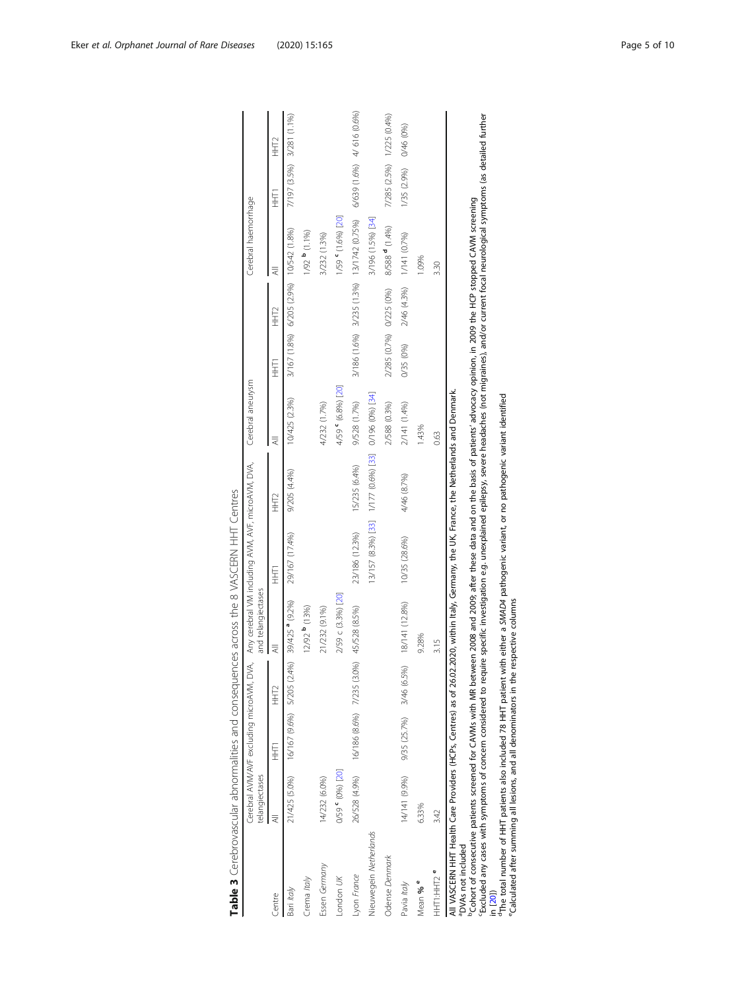<span id="page-4-0"></span>

| Table 3 Cerebrovascular abnormalities and consequences across the 8 VASCERN HHT Centres                                                                                                                                                                                                                                                                                                             |                                                             |                            |                            |                            |                                                      |                  |                    |                         |                            |                                           |                            |                  |
|-----------------------------------------------------------------------------------------------------------------------------------------------------------------------------------------------------------------------------------------------------------------------------------------------------------------------------------------------------------------------------------------------------|-------------------------------------------------------------|----------------------------|----------------------------|----------------------------|------------------------------------------------------|------------------|--------------------|-------------------------|----------------------------|-------------------------------------------|----------------------------|------------------|
|                                                                                                                                                                                                                                                                                                                                                                                                     | Cerebral AVM/AVF excluding microAVM, DVA,<br>telangiectases |                            |                            | and telangiectases         | Any cerebral VM including AVM, AVF, microAVM, DVA,   |                  | Cerebral aneurysm  |                         |                            | Cerebral haemorrhage                      |                            |                  |
| Centre                                                                                                                                                                                                                                                                                                                                                                                              |                                                             | 三王                         | HHT <sub>2</sub>           |                            | F<br>E<br>E                                          | HHT <sub>2</sub> | ₹                  | 三王                      | HHT <sub>2</sub>           | ₹                                         | F<br>E<br>E                | HHT <sub>2</sub> |
| Bari Italy                                                                                                                                                                                                                                                                                                                                                                                          | 21/425 (5.0%)                                               |                            | 16/167 (9.6%) 5/205 (2.4%) | 39/425 <sup>ª</sup> (9.2%) | 29/167 (17.4%)                                       | 9/205 (4.4%)     | 10/425 (2.3%)      | 3/167 (1.8%)            | 6/205 (2.9%) 10/542 (1.8%) |                                           | 7/197 (3.5%)               | 3/281 (1.1%)     |
| Crema Italy                                                                                                                                                                                                                                                                                                                                                                                         |                                                             |                            |                            | 12/92 <sup>b</sup> (13%)   |                                                      |                  |                    |                         |                            | 1/92 <sup>b</sup> (1.1%)                  |                            |                  |
| Essen Germany                                                                                                                                                                                                                                                                                                                                                                                       | 14/232 (6.0%)                                               |                            |                            | 21/232 (9.1%)              |                                                      |                  | 4/232 (1.7%)       |                         |                            | 3/232 (1.3%)                              |                            |                  |
| London UK                                                                                                                                                                                                                                                                                                                                                                                           | 0/59 (0%) [20]                                              |                            |                            | 2/59 c (3.3%) [20]         |                                                      |                  | 4/59 ° (6.8%) [20] |                         |                            | 1/59 ° (1.6%) [20]                        |                            |                  |
| Lyon France                                                                                                                                                                                                                                                                                                                                                                                         | 26/528 (4.9%)                                               | 16/186 (8.6%) 7/235 (3.0%) |                            | 45/528 (8.5%)              | 23/186 (12.3%)                                       | 15/235 (6.4%)    | 9/528 (1.7%)       |                         |                            | 3/186 (1.6%) 3/235 (1.3%) 13/1742 (0.75%) | 6/639 (1.6%) 4/ 616 (0.6%) |                  |
| Nieuwegein Netherlands                                                                                                                                                                                                                                                                                                                                                                              |                                                             |                            |                            |                            | 13/157 (8.3%) [33] 1/177 (0.6%) [33] 0/196 (0%) [34] |                  |                    |                         |                            | 3/196 (1.5%) [34]                         |                            |                  |
| Odense Denmark                                                                                                                                                                                                                                                                                                                                                                                      |                                                             |                            |                            |                            |                                                      |                  | 2/588 (0.3%)       | 2/285 (0.7%) 0/225 (0%) |                            | 8/588 <sup>d</sup> (1.4%)                 | 7/285 (2.5%)               | 1/225 (0.4%)     |
| Pavia Italy                                                                                                                                                                                                                                                                                                                                                                                         | 14/141 (9.9%)                                               | 9/35 (25.7%) 3/46 (6.5%)   |                            | 18/141 (12.8%)             | 10/35 (28.6%)                                        | 4/46 (8.7%)      | 2/141 (1.4%)       | 0/35 (0%)               | 2/46 (4.3%)                | 1/141 (0.7%)                              | 1/35 (2.9%)                | 0/46 (0%)        |
| Mean % <sup>e</sup>                                                                                                                                                                                                                                                                                                                                                                                 | 6.33%                                                       |                            |                            | 9.28%                      |                                                      |                  | 1.43%              |                         |                            | 1.09%                                     |                            |                  |
| HHT1HHT2 <sup>e</sup>                                                                                                                                                                                                                                                                                                                                                                               | 3.42                                                        |                            |                            | 3.15                       |                                                      |                  | 0.63               |                         |                            | 3.30                                      |                            |                  |
| resident and the 10 Mars of the 10 Mars and between 2000 part of the the second on the second term is the contract of a second term of Contract Contract Contract Contract Contract Contract Contract Contract Contract Contra<br>All VASCERN HHT Health Care Providers (HCPs, Centres) as of 26.02.2020, within Italy, Germany, the UK, France, the Netherlands and Denmark.<br>"DVAs not included |                                                             |                            |                            |                            |                                                      |                  |                    |                         |                            |                                           |                            |                  |

| )<br>)<br>-<br>$\overline{\phantom{a}}$                                                                                                                                                                                                                 |  |
|---------------------------------------------------------------------------------------------------------------------------------------------------------------------------------------------------------------------------------------------------------|--|
|                                                                                                                                                                                                                                                         |  |
| :<br>:<br>:                                                                                                                                                                                                                                             |  |
|                                                                                                                                                                                                                                                         |  |
|                                                                                                                                                                                                                                                         |  |
|                                                                                                                                                                                                                                                         |  |
|                                                                                                                                                                                                                                                         |  |
| - מלונה המלונה המלונה המלונה המלונה המלונה המלונה המלונה המלונה המלונה המלונה המלונה המלונה המלונה המלונה המלו                                                                                                                                          |  |
|                                                                                                                                                                                                                                                         |  |
| it and conduction of the second conduction in the second conduction of the second conduction of the second conduction of the second conduction of the second conduction of the second conduction of the second conduction of t<br> <br>  2011<br>  2012 |  |
|                                                                                                                                                                                                                                                         |  |
| ノフンコンコンフリーク まこます<br>١                                                                                                                                                                                                                                   |  |
|                                                                                                                                                                                                                                                         |  |
| f<br>ŀ                                                                                                                                                                                                                                                  |  |

bCohort of consecutive patients screened for CAVMs with MR between 2008 and 2009; after these data and on the basis of patients' advocacy opinion, in 2009 the HCP stopped CAVM screening cExcluded any cases with symptoms of concern considered to require specific investigation e.g. unexplained epilepsy, severe headaches (not migraines), and/or current focal neurological symptoms (as detailed further <sup>b</sup>Cohort of consecutive patients screened for CAVMs with MR between [20](#page-9-0)08 and 2009; after these data and on the basis of patients' advocacy opinion, in 2009 the HCP stopped CAVM screening<br>in [20])<br>"The total number of HHT

dThe total number of HHT patients also included 78 HHT patient with either a SMAD4 pathogenic variant, or no pathogenic variant identified

eCalculated after summing all lesions, and all denominators in the respective columns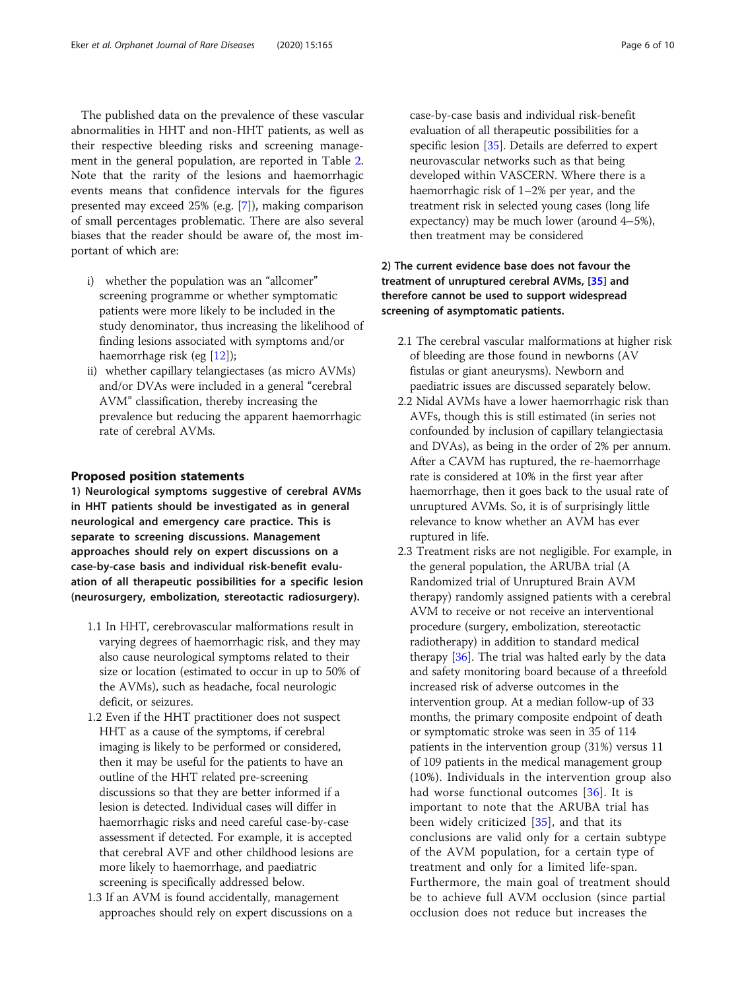The published data on the prevalence of these vascular abnormalities in HHT and non-HHT patients, as well as their respective bleeding risks and screening management in the general population, are reported in Table [2](#page-3-0). Note that the rarity of the lesions and haemorrhagic events means that confidence intervals for the figures presented may exceed 25% (e.g. [[7\]](#page-8-0)), making comparison of small percentages problematic. There are also several biases that the reader should be aware of, the most important of which are:

- i) whether the population was an "allcomer" screening programme or whether symptomatic patients were more likely to be included in the study denominator, thus increasing the likelihood of finding lesions associated with symptoms and/or haemorrhage risk (eg [[12](#page-9-0)]);
- ii) whether capillary telangiectases (as micro AVMs) and/or DVAs were included in a general "cerebral AVM" classification, thereby increasing the prevalence but reducing the apparent haemorrhagic rate of cerebral AVMs.

## Proposed position statements

1) Neurological symptoms suggestive of cerebral AVMs in HHT patients should be investigated as in general neurological and emergency care practice. This is separate to screening discussions. Management approaches should rely on expert discussions on a case-by-case basis and individual risk-benefit evaluation of all therapeutic possibilities for a specific lesion (neurosurgery, embolization, stereotactic radiosurgery).

- 1.1 In HHT, cerebrovascular malformations result in varying degrees of haemorrhagic risk, and they may also cause neurological symptoms related to their size or location (estimated to occur in up to 50% of the AVMs), such as headache, focal neurologic deficit, or seizures.
- 1.2 Even if the HHT practitioner does not suspect HHT as a cause of the symptoms, if cerebral imaging is likely to be performed or considered, then it may be useful for the patients to have an outline of the HHT related pre-screening discussions so that they are better informed if a lesion is detected. Individual cases will differ in haemorrhagic risks and need careful case-by-case assessment if detected. For example, it is accepted that cerebral AVF and other childhood lesions are more likely to haemorrhage, and paediatric screening is specifically addressed below.
- 1.3 If an AVM is found accidentally, management approaches should rely on expert discussions on a

case-by-case basis and individual risk-benefit evaluation of all therapeutic possibilities for a specific lesion [\[35\]](#page-9-0). Details are deferred to expert neurovascular networks such as that being developed within VASCERN. Where there is a haemorrhagic risk of 1–2% per year, and the treatment risk in selected young cases (long life expectancy) may be much lower (around 4–5%), then treatment may be considered

## 2) The current evidence base does not favour the treatment of unruptured cerebral AVMs, [[35\]](#page-9-0) and therefore cannot be used to support widespread screening of asymptomatic patients.

- 2.1 The cerebral vascular malformations at higher risk of bleeding are those found in newborns (AV fistulas or giant aneurysms). Newborn and paediatric issues are discussed separately below.
- 2.2 Nidal AVMs have a lower haemorrhagic risk than AVFs, though this is still estimated (in series not confounded by inclusion of capillary telangiectasia and DVAs), as being in the order of 2% per annum. After a CAVM has ruptured, the re-haemorrhage rate is considered at 10% in the first year after haemorrhage, then it goes back to the usual rate of unruptured AVMs. So, it is of surprisingly little relevance to know whether an AVM has ever ruptured in life.
- 2.3 Treatment risks are not negligible. For example, in the general population, the ARUBA trial (A Randomized trial of Unruptured Brain AVM therapy) randomly assigned patients with a cerebral AVM to receive or not receive an interventional procedure (surgery, embolization, stereotactic radiotherapy) in addition to standard medical therapy [[36](#page-9-0)]. The trial was halted early by the data and safety monitoring board because of a threefold increased risk of adverse outcomes in the intervention group. At a median follow-up of 33 months, the primary composite endpoint of death or symptomatic stroke was seen in 35 of 114 patients in the intervention group (31%) versus 11 of 109 patients in the medical management group (10%). Individuals in the intervention group also had worse functional outcomes [[36\]](#page-9-0). It is important to note that the ARUBA trial has been widely criticized [\[35](#page-9-0)], and that its conclusions are valid only for a certain subtype of the AVM population, for a certain type of treatment and only for a limited life-span. Furthermore, the main goal of treatment should be to achieve full AVM occlusion (since partial occlusion does not reduce but increases the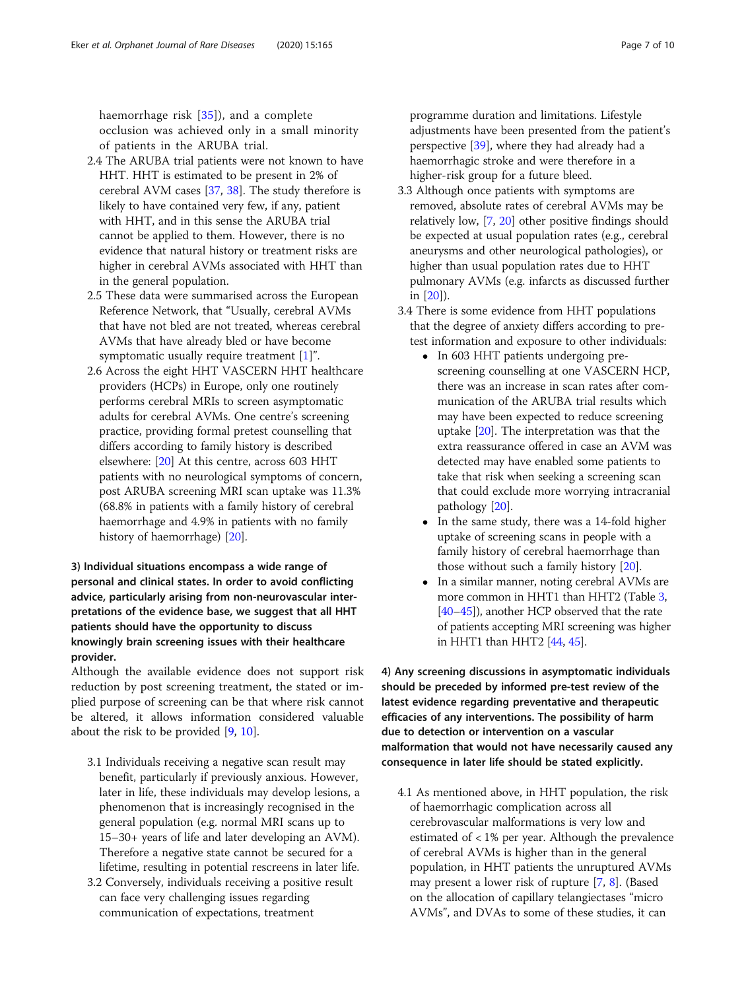haemorrhage risk [[35\]](#page-9-0)), and a complete occlusion was achieved only in a small minority of patients in the ARUBA trial.

- 2.4 The ARUBA trial patients were not known to have HHT. HHT is estimated to be present in 2% of cerebral AVM cases [\[37](#page-9-0), [38\]](#page-9-0). The study therefore is likely to have contained very few, if any, patient with HHT, and in this sense the ARUBA trial cannot be applied to them. However, there is no evidence that natural history or treatment risks are higher in cerebral AVMs associated with HHT than in the general population.
- 2.5 These data were summarised across the European Reference Network, that "Usually, cerebral AVMs that have not bled are not treated, whereas cerebral AVMs that have already bled or have become symptomatic usually require treatment  $[1]$  $[1]$ ".
- 2.6 Across the eight HHT VASCERN HHT healthcare providers (HCPs) in Europe, only one routinely performs cerebral MRIs to screen asymptomatic adults for cerebral AVMs. One centre's screening practice, providing formal pretest counselling that differs according to family history is described elsewhere: [[20](#page-9-0)] At this centre, across 603 HHT patients with no neurological symptoms of concern, post ARUBA screening MRI scan uptake was 11.3% (68.8% in patients with a family history of cerebral haemorrhage and 4.9% in patients with no family history of haemorrhage) [[20](#page-9-0)].

## 3) Individual situations encompass a wide range of personal and clinical states. In order to avoid conflicting advice, particularly arising from non-neurovascular interpretations of the evidence base, we suggest that all HHT patients should have the opportunity to discuss knowingly brain screening issues with their healthcare provider.

Although the available evidence does not support risk reduction by post screening treatment, the stated or implied purpose of screening can be that where risk cannot be altered, it allows information considered valuable about the risk to be provided [\[9](#page-9-0), [10\]](#page-9-0).

- 3.1 Individuals receiving a negative scan result may benefit, particularly if previously anxious. However, later in life, these individuals may develop lesions, a phenomenon that is increasingly recognised in the general population (e.g. normal MRI scans up to 15–30+ years of life and later developing an AVM). Therefore a negative state cannot be secured for a lifetime, resulting in potential rescreens in later life.
- 3.2 Conversely, individuals receiving a positive result can face very challenging issues regarding communication of expectations, treatment

programme duration and limitations. Lifestyle adjustments have been presented from the patient's perspective [\[39](#page-9-0)], where they had already had a haemorrhagic stroke and were therefore in a higher-risk group for a future bleed.

- 3.3 Although once patients with symptoms are removed, absolute rates of cerebral AVMs may be relatively low, [[7,](#page-8-0) [20](#page-9-0)] other positive findings should be expected at usual population rates (e.g., cerebral aneurysms and other neurological pathologies), or higher than usual population rates due to HHT pulmonary AVMs (e.g. infarcts as discussed further in [\[20\]](#page-9-0)).
- 3.4 There is some evidence from HHT populations that the degree of anxiety differs according to pretest information and exposure to other individuals:
	- In 603 HHT patients undergoing prescreening counselling at one VASCERN HCP, there was an increase in scan rates after communication of the ARUBA trial results which may have been expected to reduce screening uptake [\[20\]](#page-9-0). The interpretation was that the extra reassurance offered in case an AVM was detected may have enabled some patients to take that risk when seeking a screening scan that could exclude more worrying intracranial pathology [[20](#page-9-0)].
	- In the same study, there was a 14-fold higher uptake of screening scans in people with a family history of cerebral haemorrhage than those without such a family history [[20](#page-9-0)].
	- In a similar manner, noting cerebral AVMs are more common in HHT1 than HHT2 (Table [3,](#page-4-0) [\[40](#page-9-0)–[45](#page-9-0)]), another HCP observed that the rate of patients accepting MRI screening was higher in HHT1 than HHT2 [\[44](#page-9-0), [45\]](#page-9-0).

4) Any screening discussions in asymptomatic individuals should be preceded by informed pre-test review of the latest evidence regarding preventative and therapeutic efficacies of any interventions. The possibility of harm due to detection or intervention on a vascular malformation that would not have necessarily caused any consequence in later life should be stated explicitly.

4.1 As mentioned above, in HHT population, the risk of haemorrhagic complication across all cerebrovascular malformations is very low and estimated of < 1% per year. Although the prevalence of cerebral AVMs is higher than in the general population, in HHT patients the unruptured AVMs may present a lower risk of rupture [[7](#page-8-0), [8](#page-8-0)]. (Based on the allocation of capillary telangiectases "micro AVMs", and DVAs to some of these studies, it can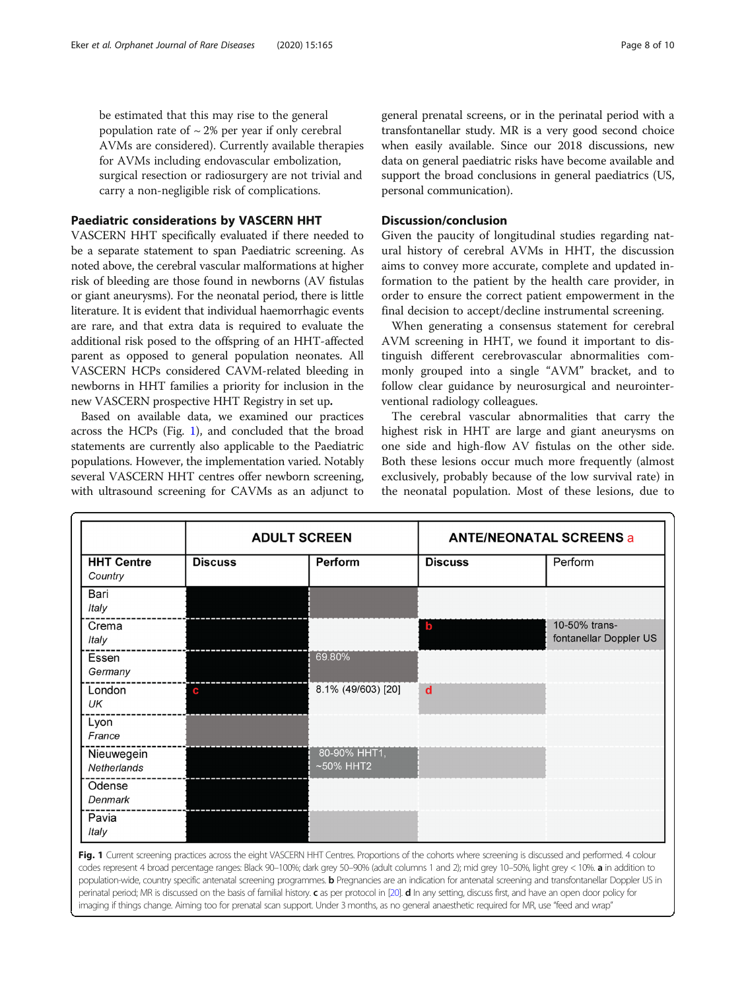<span id="page-7-0"></span>be estimated that this may rise to the general population rate of  $\sim$  2% per year if only cerebral AVMs are considered). Currently available therapies for AVMs including endovascular embolization, surgical resection or radiosurgery are not trivial and carry a non-negligible risk of complications.

## Paediatric considerations by VASCERN HHT

VASCERN HHT specifically evaluated if there needed to be a separate statement to span Paediatric screening. As noted above, the cerebral vascular malformations at higher risk of bleeding are those found in newborns (AV fistulas or giant aneurysms). For the neonatal period, there is little literature. It is evident that individual haemorrhagic events are rare, and that extra data is required to evaluate the additional risk posed to the offspring of an HHT-affected parent as opposed to general population neonates. All VASCERN HCPs considered CAVM-related bleeding in newborns in HHT families a priority for inclusion in the new VASCERN prospective HHT Registry in set up.

Based on available data, we examined our practices across the HCPs (Fig. 1), and concluded that the broad statements are currently also applicable to the Paediatric populations. However, the implementation varied. Notably several VASCERN HHT centres offer newborn screening, with ultrasound screening for CAVMs as an adjunct to general prenatal screens, or in the perinatal period with a transfontanellar study. MR is a very good second choice when easily available. Since our 2018 discussions, new data on general paediatric risks have become available and support the broad conclusions in general paediatrics (US, personal communication).

## Discussion/conclusion

Given the paucity of longitudinal studies regarding natural history of cerebral AVMs in HHT, the discussion aims to convey more accurate, complete and updated information to the patient by the health care provider, in order to ensure the correct patient empowerment in the final decision to accept/decline instrumental screening.

When generating a consensus statement for cerebral AVM screening in HHT, we found it important to distinguish different cerebrovascular abnormalities commonly grouped into a single "AVM" bracket, and to follow clear guidance by neurosurgical and neurointerventional radiology colleagues.

The cerebral vascular abnormalities that carry the highest risk in HHT are large and giant aneurysms on one side and high-flow AV fistulas on the other side. Both these lesions occur much more frequently (almost exclusively, probably because of the low survival rate) in the neonatal population. Most of these lesions, due to

|                              | <b>ADULT SCREEN</b> |                              | <b>ANTE/NEONATAL SCREENS a</b> |                                         |  |
|------------------------------|---------------------|------------------------------|--------------------------------|-----------------------------------------|--|
| <b>HHT Centre</b><br>Country | <b>Discuss</b>      | Perform                      | <b>Discuss</b>                 | Perform                                 |  |
| Bari<br>Italy                |                     |                              |                                |                                         |  |
| Crema<br>Italy               |                     |                              | $\mathbf b$                    | 10-50% trans-<br>fontanellar Doppler US |  |
| Essen<br>Germany             |                     | 69.80%                       |                                |                                         |  |
| London<br>UK                 | c                   | 8.1% (49/603) [20]           | $\mathbf d$                    |                                         |  |
| Lyon<br>France               |                     |                              |                                |                                         |  |
| Nieuwegein<br>Netherlands    |                     | 80-90% HHT1,<br>$~50\%$ HHT2 |                                |                                         |  |
| Odense<br>Denmark            |                     |                              |                                |                                         |  |
| Pavia<br>Italy               |                     |                              |                                |                                         |  |

population-wide, country specific antenatal screening programmes. **b** Pregnancies are an indication for antenatal screening and transfontanellar Doppler US in perinatal period; MR is discussed on the basis of familial history. c as per protocol in [[20\]](#page-9-0). d In any setting, discuss first, and have an open door policy for imaging if things change. Aiming too for prenatal scan support. Under 3 months, as no general anaesthetic required for MR, use "feed and wrap"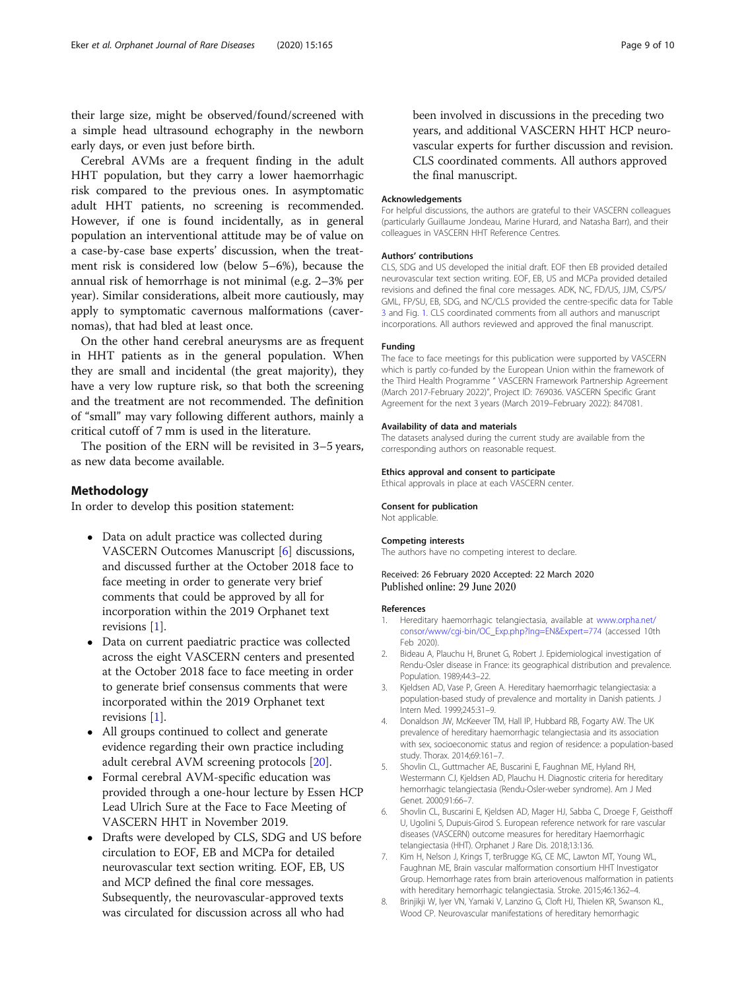<span id="page-8-0"></span>their large size, might be observed/found/screened with a simple head ultrasound echography in the newborn early days, or even just before birth.

Cerebral AVMs are a frequent finding in the adult HHT population, but they carry a lower haemorrhagic risk compared to the previous ones. In asymptomatic adult HHT patients, no screening is recommended. However, if one is found incidentally, as in general population an interventional attitude may be of value on a case-by-case base experts' discussion, when the treatment risk is considered low (below 5–6%), because the annual risk of hemorrhage is not minimal (e.g. 2–3% per year). Similar considerations, albeit more cautiously, may apply to symptomatic cavernous malformations (cavernomas), that had bled at least once.

On the other hand cerebral aneurysms are as frequent in HHT patients as in the general population. When they are small and incidental (the great majority), they have a very low rupture risk, so that both the screening and the treatment are not recommended. The definition of "small" may vary following different authors, mainly a critical cutoff of 7 mm is used in the literature.

The position of the ERN will be revisited in 3–5 years, as new data become available.

## Methodology

In order to develop this position statement:

- Data on adult practice was collected during VASCERN Outcomes Manuscript [6] discussions, and discussed further at the October 2018 face to face meeting in order to generate very brief comments that could be approved by all for incorporation within the 2019 Orphanet text revisions [1].
- Data on current paediatric practice was collected across the eight VASCERN centers and presented at the October 2018 face to face meeting in order to generate brief consensus comments that were incorporated within the 2019 Orphanet text revisions [1].
- All groups continued to collect and generate evidence regarding their own practice including adult cerebral AVM screening protocols [\[20\]](#page-9-0).
- Formal cerebral AVM-specific education was provided through a one-hour lecture by Essen HCP Lead Ulrich Sure at the Face to Face Meeting of VASCERN HHT in November 2019.
- Drafts were developed by CLS, SDG and US before circulation to EOF, EB and MCPa for detailed neurovascular text section writing. EOF, EB, US and MCP defined the final core messages. Subsequently, the neurovascular-approved texts was circulated for discussion across all who had

been involved in discussions in the preceding two years, and additional VASCERN HHT HCP neurovascular experts for further discussion and revision. CLS coordinated comments. All authors approved the final manuscript.

#### Acknowledgements

For helpful discussions, the authors are grateful to their VASCERN colleagues (particularly Guillaume Jondeau, Marine Hurard, and Natasha Barr), and their colleagues in VASCERN HHT Reference Centres.

#### Authors' contributions

CLS, SDG and US developed the initial draft. EOF then EB provided detailed neurovascular text section writing. EOF, EB, US and MCPa provided detailed revisions and defined the final core messages. ADK, NC, FD/US, JJM, CS/PS/ GML, FP/SU, EB, SDG, and NC/CLS provided the centre-specific data for Table [3](#page-4-0) and Fig. [1](#page-7-0). CLS coordinated comments from all authors and manuscript incorporations. All authors reviewed and approved the final manuscript.

#### Funding

The face to face meetings for this publication were supported by VASCERN which is partly co-funded by the European Union within the framework of the Third Health Programme " VASCERN Framework Partnership Agreement (March 2017-February 2022)", Project ID: 769036. VASCERN Specific Grant Agreement for the next 3 years (March 2019–February 2022): 847081.

#### Availability of data and materials

The datasets analysed during the current study are available from the corresponding authors on reasonable request.

#### Ethics approval and consent to participate

Ethical approvals in place at each VASCERN center.

#### Consent for publication

Not applicable.

#### Competing interests

The authors have no competing interest to declare.

Received: 26 February 2020 Accepted: 22 March 2020 Published online: 29 June 2020

#### References

- 1. Hereditary haemorrhagic telangiectasia, available at [www.orpha.net/](http://www.orpha.net/consor/www/cgi-bin/OC_Exp.php?lng=EN&Expert=774) [consor/www/cgi-bin/OC\\_Exp.php?lng=EN&Expert=774](http://www.orpha.net/consor/www/cgi-bin/OC_Exp.php?lng=EN&Expert=774) (accessed 10th Feb 2020).
- 2. Bideau A, Plauchu H, Brunet G, Robert J. Epidemiological investigation of Rendu-Osler disease in France: its geographical distribution and prevalence. Population. 1989;44:3–22.
- 3. Kjeldsen AD, Vase P, Green A. Hereditary haemorrhagic telangiectasia: a population-based study of prevalence and mortality in Danish patients. J Intern Med. 1999;245:31–9.
- 4. Donaldson JW, McKeever TM, Hall IP, Hubbard RB, Fogarty AW. The UK prevalence of hereditary haemorrhagic telangiectasia and its association with sex, socioeconomic status and region of residence: a population-based study. Thorax. 2014;69:161–7.
- 5. Shovlin CL, Guttmacher AE, Buscarini E, Faughnan ME, Hyland RH, Westermann CJ, Kjeldsen AD, Plauchu H. Diagnostic criteria for hereditary hemorrhagic telangiectasia (Rendu-Osler-weber syndrome). Am J Med Genet. 2000;91:66–7.
- Shovlin CL, Buscarini E, Kjeldsen AD, Mager HJ, Sabba C, Droege F, Geisthoff U, Ugolini S, Dupuis-Girod S. European reference network for rare vascular diseases (VASCERN) outcome measures for hereditary Haemorrhagic telangiectasia (HHT). Orphanet J Rare Dis. 2018;13:136.
- 7. Kim H, Nelson J, Krings T, terBrugge KG, CE MC, Lawton MT, Young WL, Faughnan ME, Brain vascular malformation consortium HHT Investigator Group. Hemorrhage rates from brain arteriovenous malformation in patients with hereditary hemorrhagic telangiectasia. Stroke. 2015;46:1362–4.
- 8. Brinjikji W, Iyer VN, Yamaki V, Lanzino G, Cloft HJ, Thielen KR, Swanson KL, Wood CP. Neurovascular manifestations of hereditary hemorrhagic